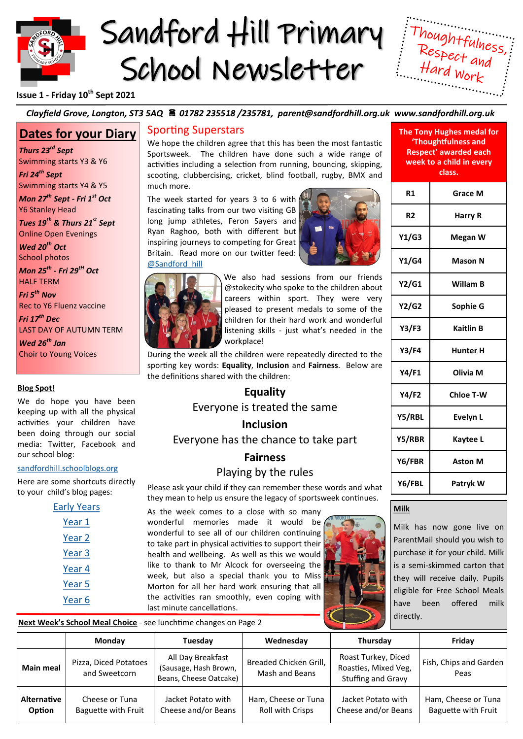

# Sandford Hill Primary School Newsletter



## **Issue 1 - Friday 10th Sept 2021**

## *Clayfield Grove, Longton, ST3 5AQ 01782 235518 /235781, parent@sandfordhill.org.uk www.sandfordhill.org.uk*

# **Dates for your Diary**

*Thurs 23rd Sept* Swimming starts Y3 & Y6 *Fri 24th Sept* 

Swimming starts Y4 & Y5 *Mon 27th Sept - Fri 1st Oct* 

Y6 Stanley Head

*Tues 19th & Thurs 21st Sept*  Online Open Evenings

*Wed 20th Oct*  School photos

*Mon 25th - Fri 29tH Oct*

HALF TERM *Fri 5th Nov* 

Rec to Y6 Fluenz vaccine *Fri 17th Dec* 

LAST DAY OF AUTUMN TERM

*Wed 26th Jan* Choir to Young Voices

## **Blog Spot!**

We do hope you have been keeping up with all the physical activities your children have been doing through our social media: Twitter, Facebook and our school blog:

#### [sandfordhill.schoolblogs.org](http://sandfordhill.schoolblogs.org/)

Here are some shortcuts directly to your child's blog pages:

| <b>Early Years</b> |  |  |  |  |
|--------------------|--|--|--|--|
| Year 1             |  |  |  |  |
| Year 2             |  |  |  |  |
| Year 3             |  |  |  |  |
| Year 4             |  |  |  |  |
| Year 5             |  |  |  |  |
| Year 6             |  |  |  |  |

## Sporting Superstars

We hope the children agree that this has been the most fantastic Sportsweek. The children have done such a wide range of activities including a selection from running, bouncing, skipping, scooting, clubbercising, cricket, blind football, rugby, BMX and much more.

The week started for years 3 to 6 with fascinating talks from our two visiting GB long jump athletes, Feron Sayers and Ryan Raghoo, both with different but inspiring journeys to competing for Great Britain. Read more on our twitter feed: [@Sandford\\_hill](https://twitter.com/sandford_hill)





We also had sessions from our friends @stokecity who spoke to the children about careers within sport. They were very pleased to present medals to some of the children for their hard work and wonderful listening skills - just what's needed in the workplace!

During the week all the children were repeatedly directed to the sporting key words: **Equality**, **Inclusion** and **Fairness**. Below are the definitions shared with the children:

# **Equality**

Everyone is treated the same

# **Inclusion**

Everyone has the chance to take part

# **Fairness**

# Playing by the rules

Please ask your child if they can remember these words and what they mean to help us ensure the legacy of sportsweek continues.

As the week comes to a close with so many wonderful memories made it would be wonderful to see all of our children continuing to take part in physical activities to support their health and wellbeing. As well as this we would like to thank to Mr Alcock for overseeing the week, but also a special thank you to Miss Morton for all her hard work ensuring that all the activities ran smoothly, even coping with last minute cancellations.



**The Tony Hughes medal for 'Thoughtfulness and Respect' awarded each week to a child in every class.**

| R1           | <b>Grace M</b>   |  |  |
|--------------|------------------|--|--|
| R2           | Harry R          |  |  |
| Y1/G3        | Megan W          |  |  |
| Y1/G4        | Mason N          |  |  |
| Y2/G1        | Willam B         |  |  |
| Y2/G2        | Sophie G         |  |  |
| Y3/F3        | <b>Kaitlin B</b> |  |  |
| <b>Y3/F4</b> | <b>Hunter H</b>  |  |  |
| Y4/F1        | Olivia M         |  |  |
| Y4/F2        | <b>Chloe T-W</b> |  |  |
| Y5/RBL       | Evelyn L         |  |  |
| Y5/RBR       | Kaytee L         |  |  |
| Y6/FBR       | <b>Aston M</b>   |  |  |
| Y6/FBL       | Patryk W         |  |  |

## **Milk**

Milk has now gone live on ParentMail should you wish to purchase it for your child. Milk is a semi-skimmed carton that they will receive daily. Pupils eligible for Free School Meals have been offered milk directly.

**Next Week's School Meal Choice** - see lunchtime changes on Page 2

|                              | Monday                                       | Tuesday                                                              | Wednesday                                | Thursday                                                          | Fridav                                     |
|------------------------------|----------------------------------------------|----------------------------------------------------------------------|------------------------------------------|-------------------------------------------------------------------|--------------------------------------------|
| <b>Main meal</b>             | Pizza, Diced Potatoes<br>and Sweetcorn       | All Day Breakfast<br>(Sausage, Hash Brown,<br>Beans, Cheese Oatcake) | Breaded Chicken Grill,<br>Mash and Beans | Roast Turkey, Diced<br>Roasties, Mixed Veg,<br>Stuffing and Gravy | Fish, Chips and Garden<br>Peas             |
| <b>Alternative</b><br>Option | Cheese or Tuna<br><b>Baguette with Fruit</b> | Jacket Potato with<br>Cheese and/or Beans                            | Ham, Cheese or Tuna<br>Roll with Crisps  | Jacket Potato with<br>Cheese and/or Beans                         | Ham, Cheese or Tuna<br>Baguette with Fruit |